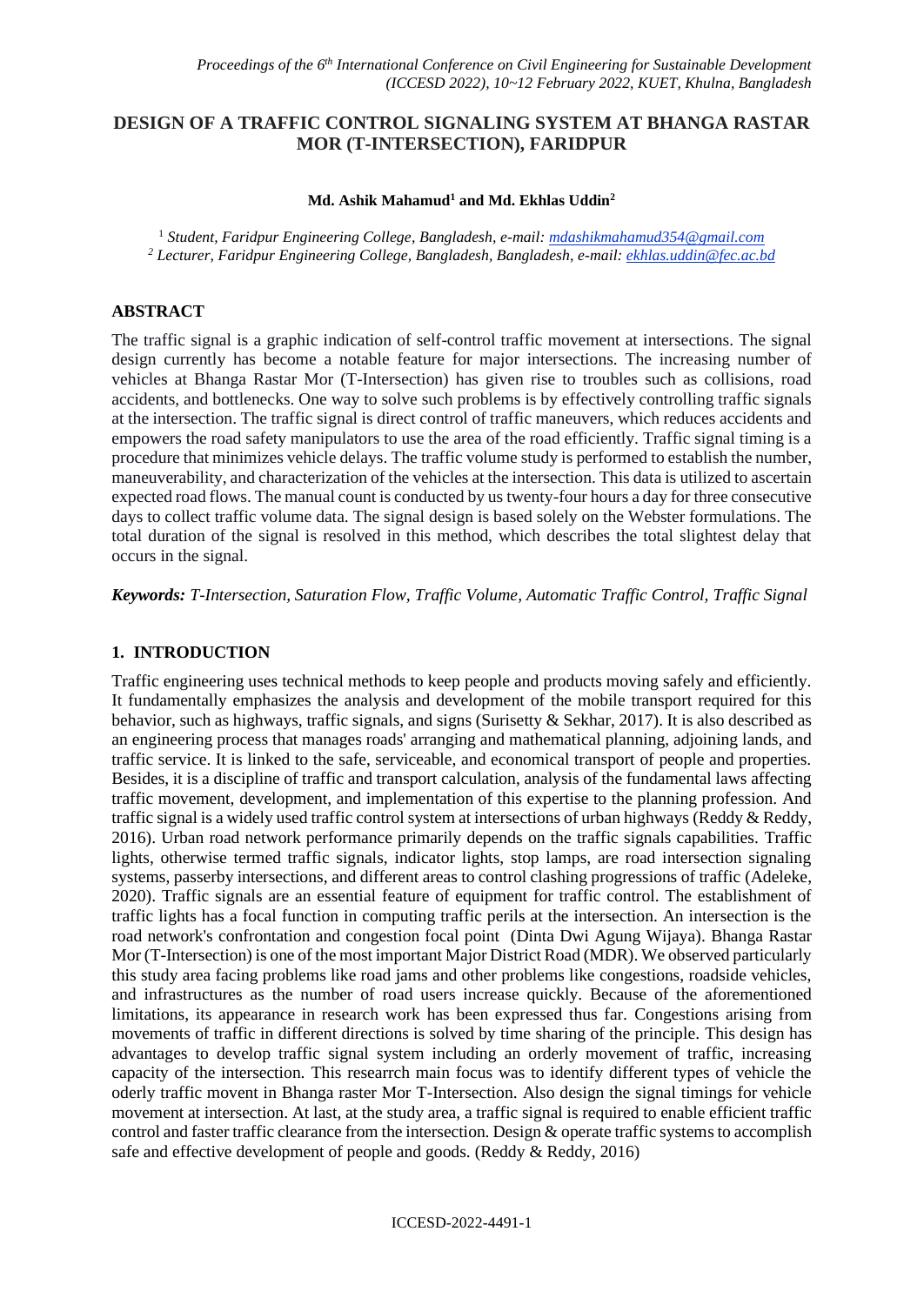# **DESIGN OF A TRAFFIC CONTROL SIGNALING SYSTEM AT BHANGA RASTAR MOR (T-INTERSECTION), FARIDPUR**

#### **Md. Ashik Mahamud<sup>1</sup> and Md. Ekhlas Uddin<sup>2</sup>**

<sup>1</sup> *Student, Faridpur Engineering College, Bangladesh, e-mail: mdashikmahamud354@gmail.com <sup>2</sup> Lecturer, Faridpur Engineering College, Bangladesh, Bangladesh, e-mail: ekhlas.uddin@fec.ac.bd*

#### **ABSTRACT**

The traffic signal is a graphic indication of self-control traffic movement at intersections. The signal design currently has become a notable feature for major intersections. The increasing number of vehicles at Bhanga Rastar Mor (T-Intersection) has given rise to troubles such as collisions, road accidents, and bottlenecks. One way to solve such problems is by effectively controlling traffic signals at the intersection. The traffic signal is direct control of traffic maneuvers, which reduces accidents and empowers the road safety manipulators to use the area of the road efficiently. Traffic signal timing is a procedure that minimizes vehicle delays. The traffic volume study is performed to establish the number, maneuverability, and characterization of the vehicles at the intersection. This data is utilized to ascertain expected road flows. The manual count is conducted by us twenty-four hours a day for three consecutive days to collect traffic volume data. The signal design is based solely on the Webster formulations. The total duration of the signal is resolved in this method, which describes the total slightest delay that occurs in the signal.

*Keywords: T-Intersection, Saturation Flow, Traffic Volume, Automatic Traffic Control, Traffic Signal*

#### **1. INTRODUCTION**

Traffic engineering uses technical methods to keep people and products moving safely and efficiently. It fundamentally emphasizes the analysis and development of the mobile transport required for this behavior, such as highways, traffic signals, and signs (Surisetty & Sekhar, 2017). It is also described as an engineering process that manages roads' arranging and mathematical planning, adjoining lands, and traffic service. It is linked to the safe, serviceable, and economical transport of people and properties. Besides, it is a discipline of traffic and transport calculation, analysis of the fundamental laws affecting traffic movement, development, and implementation of this expertise to the planning profession. And traffic signal is a widely used traffic control system at intersections of urban highways (Reddy & Reddy, 2016). Urban road network performance primarily depends on the traffic signals capabilities. Traffic lights, otherwise termed traffic signals, indicator lights, stop lamps, are road intersection signaling systems, passerby intersections, and different areas to control clashing progressions of traffic (Adeleke, 2020). Traffic signals are an essential feature of equipment for traffic control. The establishment of traffic lights has a focal function in computing traffic perils at the intersection. An intersection is the road network's confrontation and congestion focal point (Dinta Dwi Agung Wijaya). Bhanga Rastar Mor (T-Intersection) is one of the most important Major District Road (MDR). We observed particularly this study area facing problems like road jams and other problems like congestions, roadside vehicles, and infrastructures as the number of road users increase quickly. Because of the aforementioned limitations, its appearance in research work has been expressed thus far. Congestions arising from movements of traffic in different directions is solved by time sharing of the principle. This design has advantages to develop traffic signal system including an orderly movement of traffic, increasing capacity of the intersection. This researrch main focus was to identify different types of vehicle the oderly traffic movent in Bhanga raster Mor T-Intersection. Also design the signal timings for vehicle movement at intersection. At last, at the study area, a traffic signal is required to enable efficient traffic control and faster traffic clearance from the intersection. Design & operate traffic systems to accomplish safe and effective development of people and goods. (Reddy & Reddy, 2016)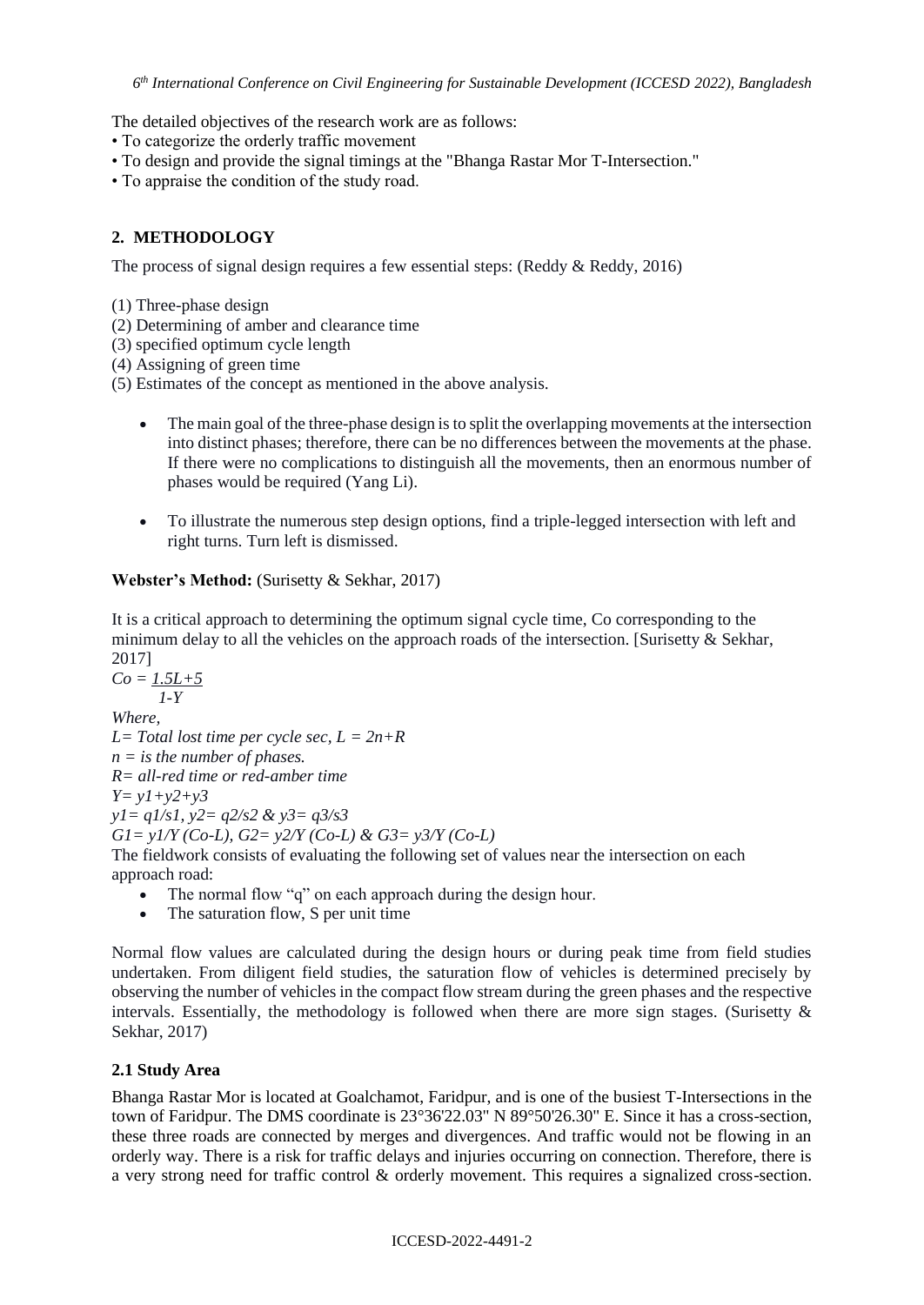The detailed objectives of the research work are as follows:

- To categorize the orderly traffic movement
- To design and provide the signal timings at the "Bhanga Rastar Mor T-Intersection."
- To appraise the condition of the study road.

# **2. METHODOLOGY**

The process of signal design requires a few essential steps: (Reddy & Reddy, 2016)

- (1) Three-phase design
- (2) Determining of amber and clearance time
- (3) specified optimum cycle length
- (4) Assigning of green time
- (5) Estimates of the concept as mentioned in the above analysis.
	- The main goal of the three-phase design is to split the overlapping movements at the intersection into distinct phases; therefore, there can be no differences between the movements at the phase. If there were no complications to distinguish all the movements, then an enormous number of phases would be required (Yang Li).
	- To illustrate the numerous step design options, find a triple-legged intersection with left and right turns. Turn left is dismissed.

### **Webster's Method:** (Surisetty & Sekhar, 2017)

It is a critical approach to determining the optimum signal cycle time, Co corresponding to the minimum delay to all the vehicles on the approach roads of the intersection. [Surisetty  $\&$  Sekhar, 2017]

 $Co = 1.5L + 5$ *1-Y Where, L= Total lost time per cycle sec, L = 2n+R n = is the number of phases. R= all-red time or red-amber time Y= y1+y2+y3 y1= q1/s1, y2= q2/s2 & y3= q3/s3 G1= y1/Y (Co-L), G2= y2/Y (Co-L) & G3= y3/Y (Co-L)* The fieldwork consists of evaluating the following set of values near the intersection on each approach road:

- The normal flow "q" on each approach during the design hour.
- The saturation flow, S per unit time

Normal flow values are calculated during the design hours or during peak time from field studies undertaken. From diligent field studies, the saturation flow of vehicles is determined precisely by observing the number of vehicles in the compact flow stream during the green phases and the respective intervals. Essentially, the methodology is followed when there are more sign stages. (Surisetty  $\&$ Sekhar, 2017)

### **2.1 Study Area**

Bhanga Rastar Mor is located at Goalchamot, Faridpur, and is one of the busiest T-Intersections in the town of Faridpur. The DMS coordinate is 23°36'22.03" N 89°50'26.30" E. Since it has a cross-section, these three roads are connected by merges and divergences. And traffic would not be flowing in an orderly way. There is a risk for traffic delays and injuries occurring on connection. Therefore, there is a very strong need for traffic control & orderly movement. This requires a signalized cross-section.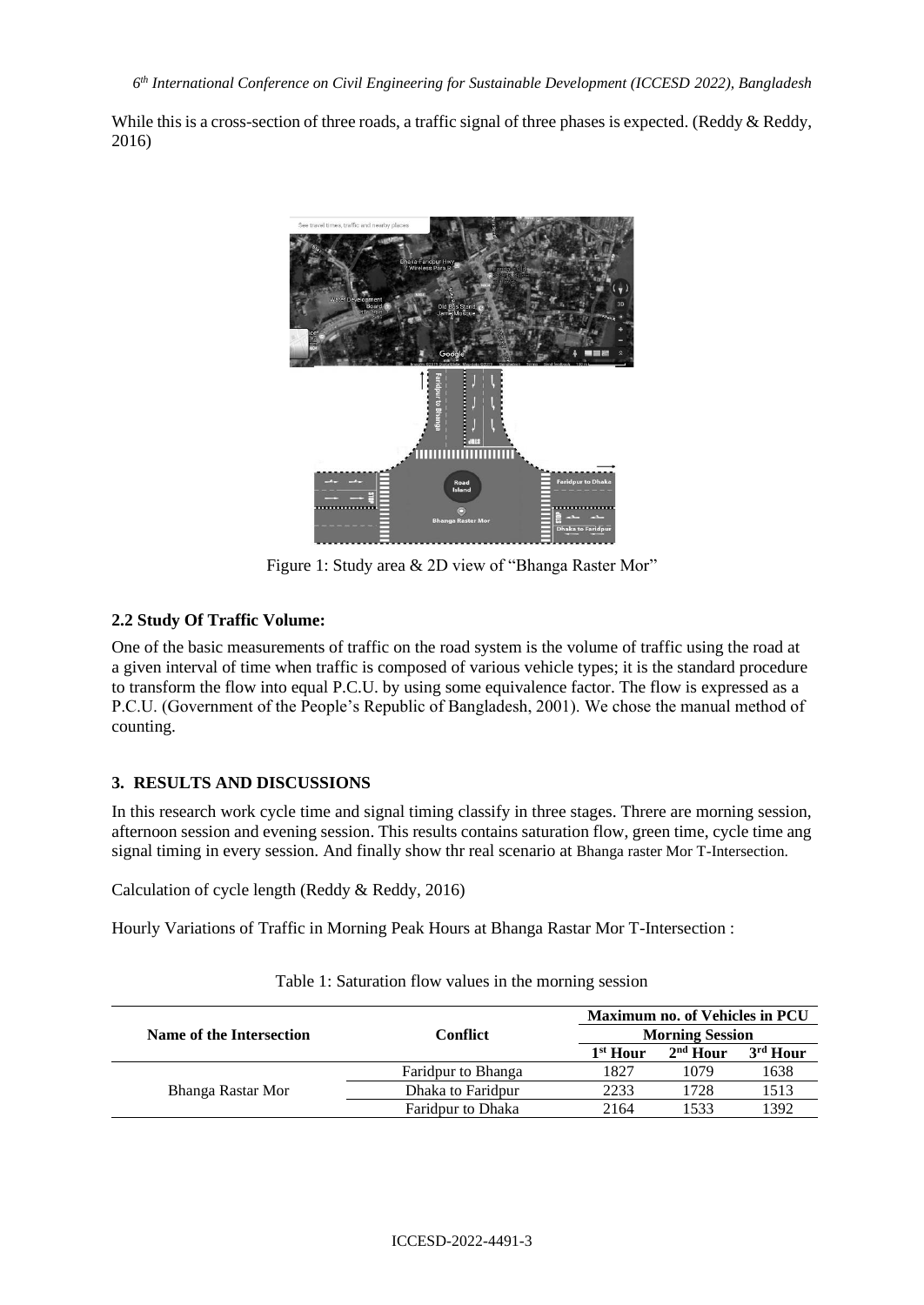While this is a cross-section of three roads, a traffic signal of three phases is expected. (Reddy & Reddy, 2016)



Figure 1: Study area & 2D view of "Bhanga Raster Mor"

# **2.2 Study Of Traffic Volume:**

One of the basic measurements of traffic on the road system is the volume of traffic using the road at a given interval of time when traffic is composed of various vehicle types; it is the standard procedure to transform the flow into equal P.C.U. by using some equivalence factor. The flow is expressed as a P.C.U. (Government of the People's Republic of Bangladesh, 2001). We chose the manual method of counting.

# **3. RESULTS AND DISCUSSIONS**

In this research work cycle time and signal timing classify in three stages. Threre are morning session, afternoon session and evening session. This results contains saturation flow, green time, cycle time ang signal timing in every session. And finally show thr real scenario at Bhanga raster Mor T-Intersection.

Calculation of cycle length (Reddy & Reddy, 2016)

Hourly Variations of Traffic in Morning Peak Hours at Bhanga Rastar Mor T-Intersection :

|                          |                    |                      | Maximum no. of Vehicles in PCU |                      |  |  |
|--------------------------|--------------------|----------------------|--------------------------------|----------------------|--|--|
| Name of the Intersection | Conflict           |                      | <b>Morning Session</b>         |                      |  |  |
|                          |                    | 1 <sup>st</sup> Hour | $2nd$ Hour                     | 3 <sup>rd</sup> Hour |  |  |
|                          | Faridpur to Bhanga | 1827                 | 1079                           | 1638                 |  |  |
| Bhanga Rastar Mor        | Dhaka to Faridpur  | 2233                 | 1728                           | 1513                 |  |  |
|                          | Faridpur to Dhaka  | 2164                 | 1533                           | 1392                 |  |  |

Table 1: Saturation flow values in the morning session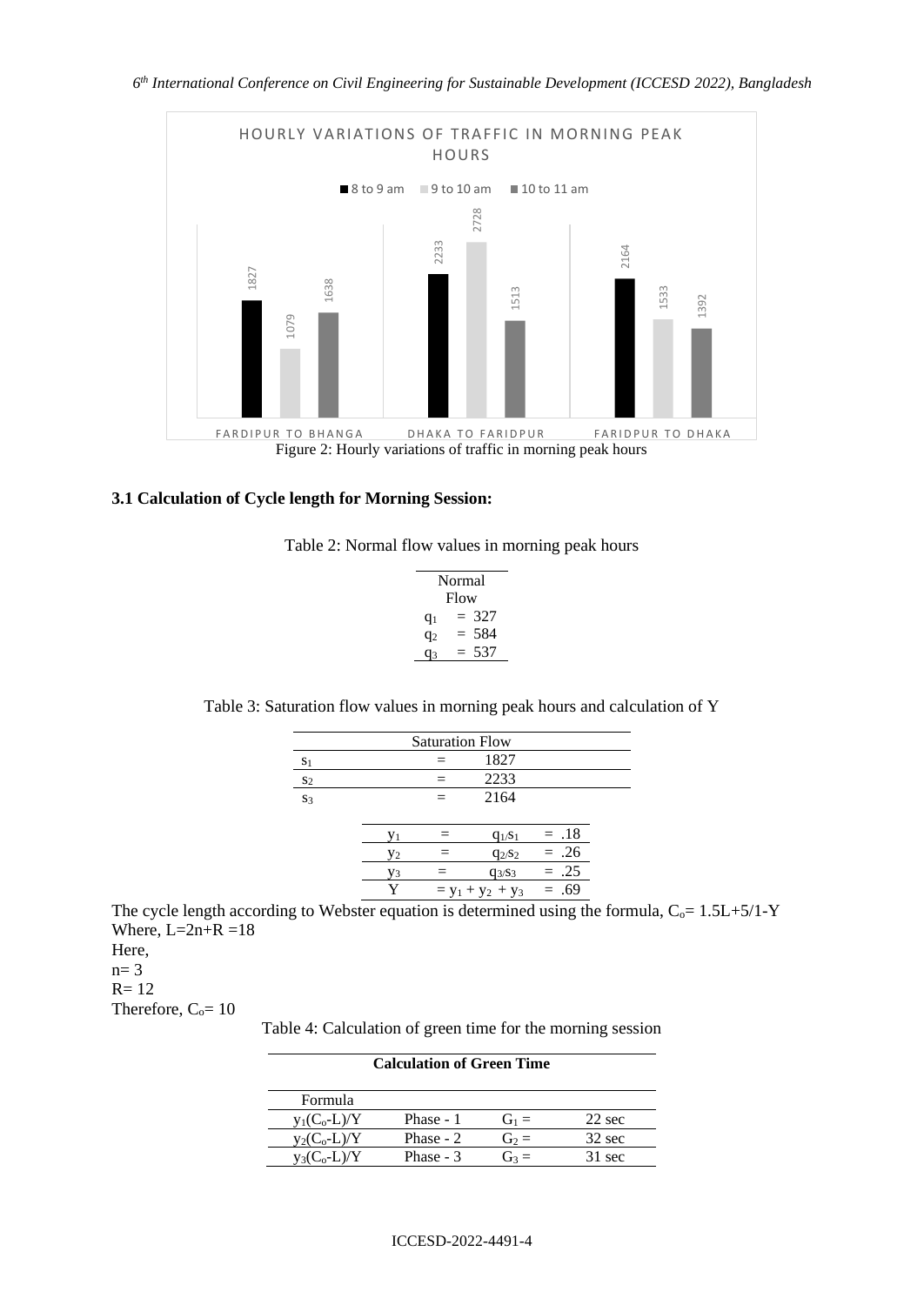

### **3.1 Calculation of Cycle length for Morning Session:**

|  |  | Table 2: Normal flow values in morning peak hours |  |
|--|--|---------------------------------------------------|--|

| Normal<br>Flow |            |  |  |  |
|----------------|------------|--|--|--|
| $q_1$          | 327        |  |  |  |
| $q_2$          | 584<br>$=$ |  |  |  |
| u٩             | 537        |  |  |  |

Table 3: Saturation flow values in morning peak hours and calculation of Y

| <b>Saturation Flow</b> |    |   |                                   |        |  |  |
|------------------------|----|---|-----------------------------------|--------|--|--|
| S <sub>1</sub>         |    |   | 1827                              |        |  |  |
| S <sub>2</sub>         |    |   | 2233                              |        |  |  |
| S <sub>3</sub>         |    | — | 2164                              |        |  |  |
|                        |    |   |                                   |        |  |  |
|                        | V1 |   | $q_1$ <sub><math>s_1</math></sub> | $=.18$ |  |  |
|                        | Y2 |   | $q_{2/S_2}$                       | $=.26$ |  |  |
|                        | Y3 |   | $q_{3}/s_3$                       | $=.25$ |  |  |
|                        | Y  |   | $= y_1 + y_2 + y_3$               | $=.69$ |  |  |

The cycle length according to Webster equation is determined using the formula,  $C_0 = 1.5L+5/1-Y$ Where,  $L=2n+R=18$ 

Here,  $n= 3$ 

 $R = 12$ 

Therefore,  $C_0 = 10$ 

Table 4: Calculation of green time for the morning session

| <b>Calculation of Green Time</b> |           |         |                  |  |  |
|----------------------------------|-----------|---------|------------------|--|--|
| <b>Formula</b>                   |           |         |                  |  |  |
| $y_1(C_o-L)/Y$                   | Phase - 1 | $G_1 =$ | $22 \text{ sec}$ |  |  |
| $y_2(C_o-L)/Y$                   | Phase - 2 | $G_2 =$ | $32 \text{ sec}$ |  |  |
| $y_3(C_0-L)/Y$                   | Phase - 3 | $G_3 =$ | 31 sec           |  |  |

#### ICCESD-2022-4491-4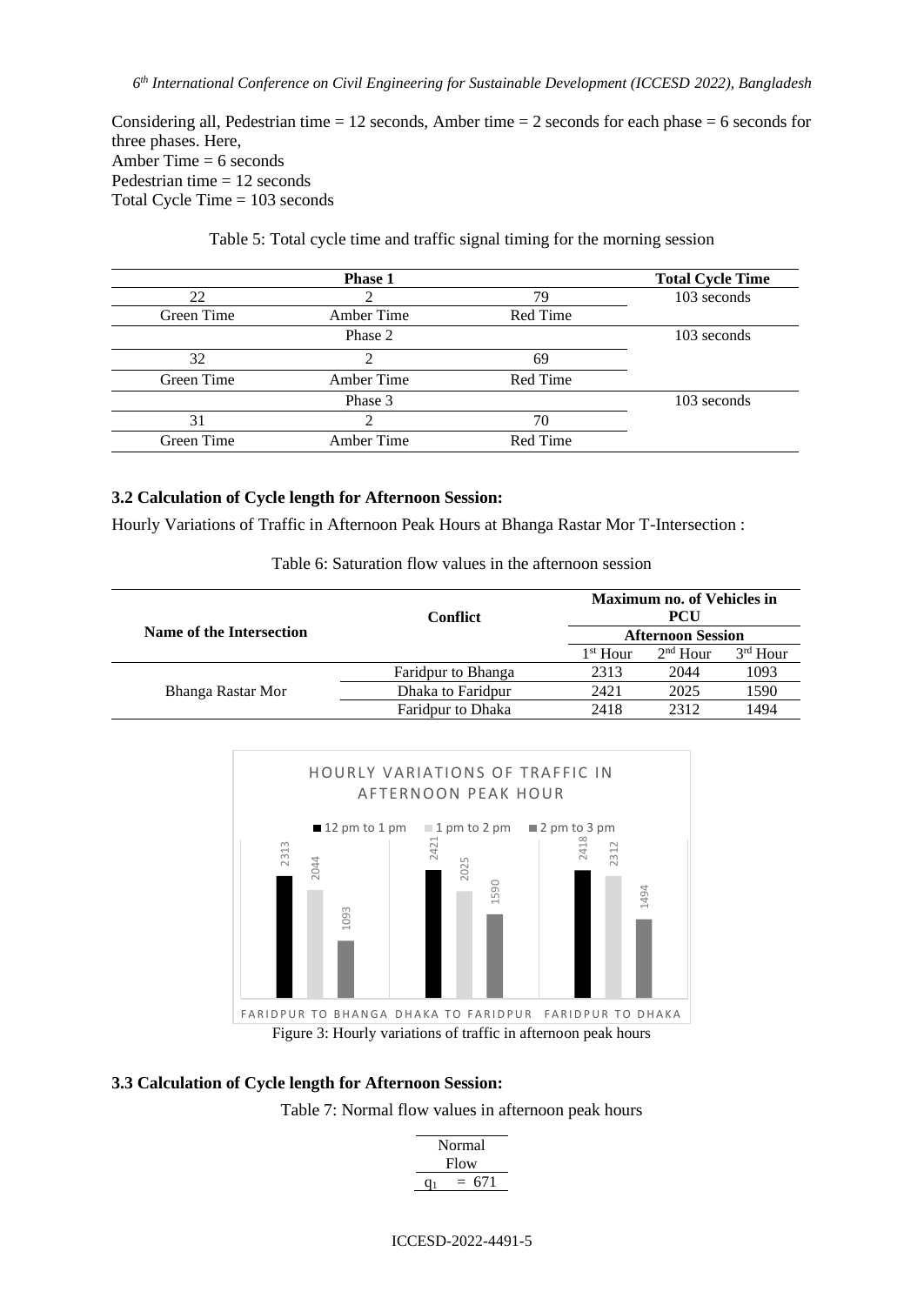Considering all, Pedestrian time  $= 12$  seconds, Amber time  $= 2$  seconds for each phase  $= 6$  seconds for three phases. Here, Amber Time  $= 6$  seconds Pedestrian time  $= 12$  seconds Total Cycle Time = 103 seconds

Table 5: Total cycle time and traffic signal timing for the morning session

|            | <b>Phase 1</b> |          | <b>Total Cycle Time</b> |
|------------|----------------|----------|-------------------------|
| 22         | 79             |          | 103 seconds             |
| Green Time | Amber Time     | Red Time |                         |
|            | Phase 2        |          | 103 seconds             |
| 32         |                | 69       |                         |
| Green Time | Amber Time     | Red Time |                         |
|            | Phase 3        |          | 103 seconds             |
| 31         |                | 70       |                         |
| Green Time | Amber Time     | Red Time |                         |

### **3.2 Calculation of Cycle length for Afternoon Session:**

Hourly Variations of Traffic in Afternoon Peak Hours at Bhanga Rastar Mor T-Intersection :

| Name of the Intersection | <b>Conflict</b>          | <b>Maximum no. of Vehicles in</b><br><b>PCU</b> |                          |            |  |
|--------------------------|--------------------------|-------------------------------------------------|--------------------------|------------|--|
|                          |                          |                                                 | <b>Afternoon Session</b> |            |  |
|                          |                          | $1st$ Hour                                      | $2nd$ Hour               | $3rd$ Hour |  |
|                          | Faridpur to Bhanga       | 2313                                            | 2044                     | 1093       |  |
| Bhanga Rastar Mor        | Dhaka to Faridpur        | 2421                                            | 2025                     | 1590       |  |
|                          | <b>Faridpur to Dhaka</b> | 2418                                            | 2312                     | 1494       |  |

Table 6: Saturation flow values in the afternoon session



# **3.3 Calculation of Cycle length for Afternoon Session:**

Table 7: Normal flow values in afternoon peak hours

| Normal     |  |  |  |  |  |
|------------|--|--|--|--|--|
| Flow       |  |  |  |  |  |
| 671<br>$=$ |  |  |  |  |  |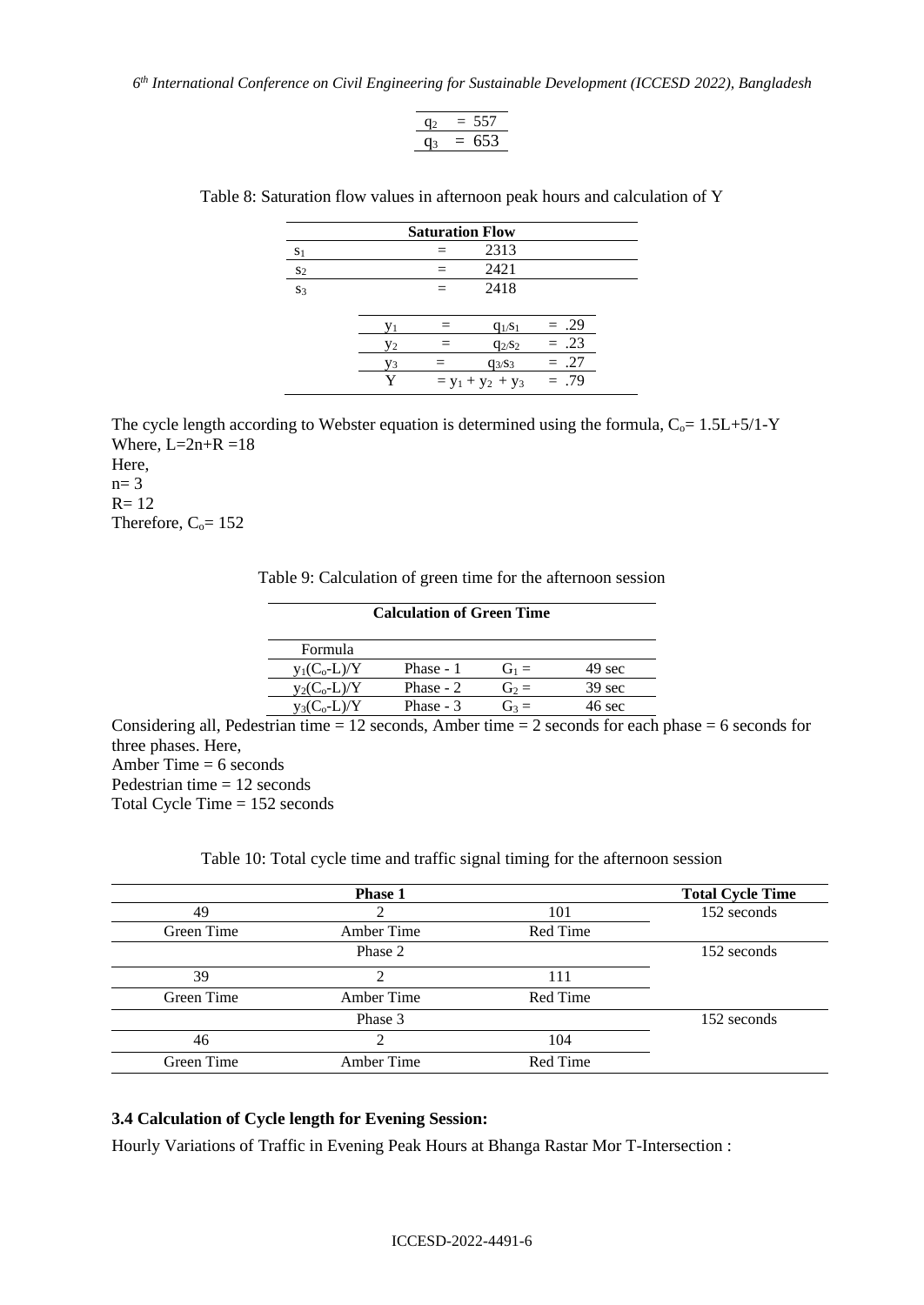*6 th International Conference on Civil Engineering for Sustainable Development (ICCESD 2022), Bangladesh*

$$
\frac{q_2 = 557}{q_3 = 653}
$$

| <b>Saturation Flow</b> |    |     |                     |        |  |  |  |
|------------------------|----|-----|---------------------|--------|--|--|--|
| S <sub>1</sub>         |    |     | 2313                |        |  |  |  |
| S <sub>2</sub>         |    | $=$ | 2421                |        |  |  |  |
| S <sub>3</sub>         |    |     | 2418                |        |  |  |  |
|                        |    |     |                     |        |  |  |  |
|                        | V1 |     | $q_1$ / $s_1$       | $=.29$ |  |  |  |
|                        | Y2 |     | $q_{2/S2}$          | $=.23$ |  |  |  |
|                        | V3 |     | $q_{3}/s_3$         | $=.27$ |  |  |  |
|                        |    |     | $= y_1 + y_2 + y_3$ | $=.79$ |  |  |  |

Table 8: Saturation flow values in afternoon peak hours and calculation of Y

The cycle length according to Webster equation is determined using the formula,  $C_0 = 1.5L+5/1-Y$ Where,  $L=2n+R=18$ Here,

 $n= 3$  $R= 12$ Therefore,  $C_0 = 152$ 

Table 9: Calculation of green time for the afternoon session

| <b>Calculation of Green Time</b> |         |            |                |  |  |
|----------------------------------|---------|------------|----------------|--|--|
|                                  |         |            | Formula        |  |  |
| 49 sec                           | $G_1 =$ | Phase - 1  | $V_1(C_0-L)/Y$ |  |  |
| 39 sec                           | $G_2 =$ | Phase $-2$ | $v_2(C_0-L)/Y$ |  |  |
| 46 sec                           | $G_3 =$ | Phase - 3  | $y_3(C_0-L)/Y$ |  |  |
|                                  |         |            |                |  |  |

Considering all, Pedestrian time  $= 12$  seconds, Amber time  $= 2$  seconds for each phase  $= 6$  seconds for three phases. Here, Amber Time  $= 6$  seconds

Pedestrian time = 12 seconds

Total Cycle Time = 152 seconds

Table 10: Total cycle time and traffic signal timing for the afternoon session

|            | <b>Phase 1</b> |          | <b>Total Cycle Time</b> |
|------------|----------------|----------|-------------------------|
| 49         | 101            |          | 152 seconds             |
| Green Time | Amber Time     | Red Time |                         |
|            | Phase 2        |          | 152 seconds             |
| 39         | ∍              | 111      |                         |
| Green Time | Amber Time     | Red Time |                         |
|            | Phase 3        |          | 152 seconds             |
| 46         |                | 104      |                         |
| Green Time | Amber Time     | Red Time |                         |

#### **3.4 Calculation of Cycle length for Evening Session:**

Hourly Variations of Traffic in Evening Peak Hours at Bhanga Rastar Mor T-Intersection :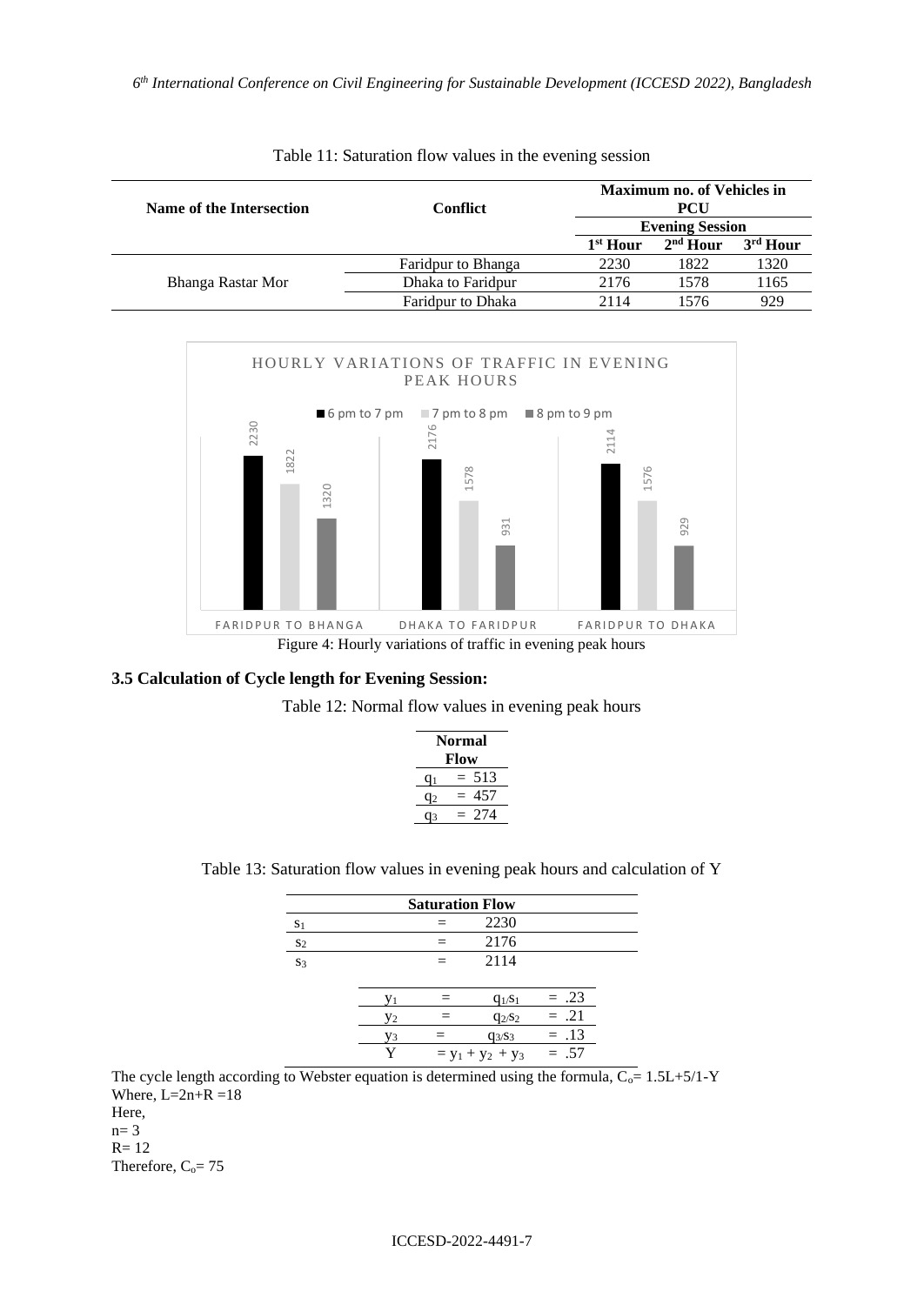| Name of the Intersection | Confiict           | <b>Maximum no. of Vehicles in</b><br>PCU |                        |                      |  |
|--------------------------|--------------------|------------------------------------------|------------------------|----------------------|--|
|                          |                    |                                          | <b>Evening Session</b> |                      |  |
|                          |                    | 1 <sup>st</sup> Hour                     | $2nd$ Hour             | 3 <sup>rd</sup> Hour |  |
|                          | Faridpur to Bhanga | 2230                                     | 1822                   | 1320                 |  |
| Bhanga Rastar Mor        | Dhaka to Faridpur  | 2176                                     | 1578                   | 1165                 |  |
|                          | Faridpur to Dhaka  | 2114                                     | 1576                   | 929                  |  |

| Table 11: Saturation flow values in the evening session |  |
|---------------------------------------------------------|--|
|---------------------------------------------------------|--|



#### **3.5 Calculation of Cycle length for Evening Session:**



| <b>Normal</b><br>Flow |     |  |  |  |  |
|-----------------------|-----|--|--|--|--|
| u۱                    | 513 |  |  |  |  |
| Ч2                    | 457 |  |  |  |  |
| 3                     | 274 |  |  |  |  |

|  |  |  |  | Table 13: Saturation flow values in evening peak hours and calculation of Y |  |
|--|--|--|--|-----------------------------------------------------------------------------|--|
|  |  |  |  |                                                                             |  |

|                | <b>Saturation Flow</b> |  |                     |        |  |  |  |
|----------------|------------------------|--|---------------------|--------|--|--|--|
| S <sub>1</sub> |                        |  | 2230                |        |  |  |  |
| S <sub>2</sub> |                        |  | 2176                |        |  |  |  |
| S <sub>3</sub> |                        |  | 2114                |        |  |  |  |
|                |                        |  |                     |        |  |  |  |
|                | V <sub>1</sub>         |  | $q_{1/S_1}$         | $=.23$ |  |  |  |
|                | Y2                     |  | $q_{2/S2}$          | $=.21$ |  |  |  |
|                | Vз                     |  | $q_{3/S3}$          | $=.13$ |  |  |  |
|                | V                      |  | $= y_1 + y_2 + y_3$ | $=.57$ |  |  |  |

The cycle length according to Webster equation is determined using the formula,  $C_0$  = 1.5L+5/1-Y Where,  $L=2n+R=18$ Here,

 $n= 3$ R= 12 Therefore,  $C_0 = 75$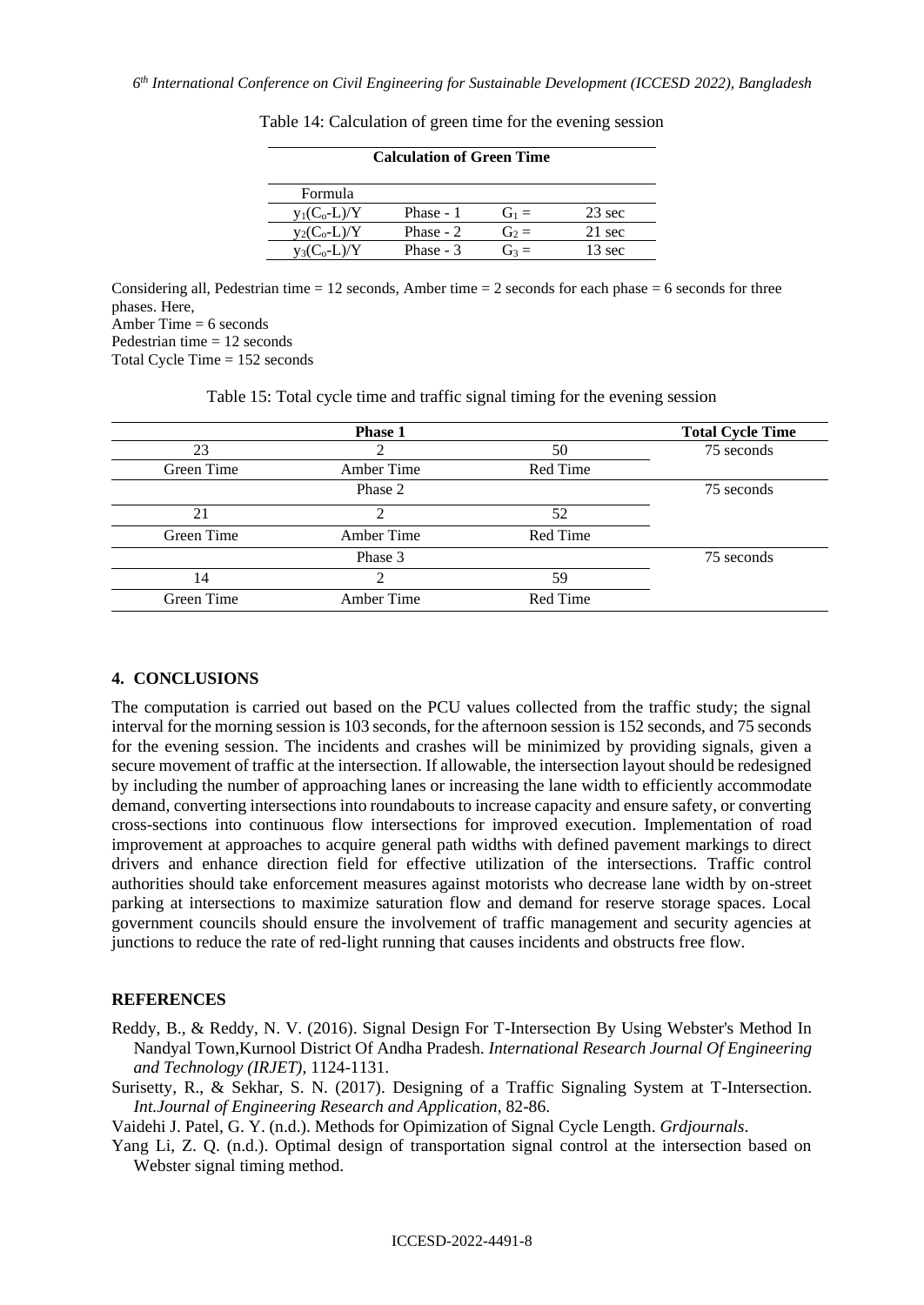| <b>Calculation of Green Time</b> |            |         |                  |  |  |  |
|----------------------------------|------------|---------|------------------|--|--|--|
| <b>Formula</b>                   |            |         |                  |  |  |  |
| $y_1(C_o-L)/Y$                   | Phase - 1  | $G_1 =$ | $23 \text{ sec}$ |  |  |  |
| $V_2(C_0-L)/Y$                   | Phase - 2  | $G_2 =$ | 21 sec           |  |  |  |
| $y_3(C_0-L)/Y$                   | Phase $-3$ | $G_3 =$ | 13 sec           |  |  |  |
|                                  |            |         |                  |  |  |  |

Table 14: Calculation of green time for the evening session

Considering all, Pedestrian time  $= 12$  seconds, Amber time  $= 2$  seconds for each phase  $= 6$  seconds for three phases. Here,

Amber Time  $= 6$  seconds

Pedestrian time = 12 seconds

Total Cycle Time = 152 seconds

Table 15: Total cycle time and traffic signal timing for the evening session

|            | <b>Phase 1</b> |          | <b>Total Cycle Time</b> |
|------------|----------------|----------|-------------------------|
| 23         |                | 50       | 75 seconds              |
| Green Time | Amber Time     | Red Time |                         |
|            | Phase 2        |          | 75 seconds              |
| 21         |                | 52       |                         |
| Green Time | Amber Time     | Red Time |                         |
|            | Phase 3        |          | 75 seconds              |
| 14         | ∍              | 59       |                         |
| Green Time | Amber Time     | Red Time |                         |

#### **4. CONCLUSIONS**

The computation is carried out based on the PCU values collected from the traffic study; the signal interval for the morning session is 103 seconds, for the afternoon session is 152 seconds, and 75 seconds for the evening session. The incidents and crashes will be minimized by providing signals, given a secure movement of traffic at the intersection. If allowable, the intersection layout should be redesigned by including the number of approaching lanes or increasing the lane width to efficiently accommodate demand, converting intersections into roundabouts to increase capacity and ensure safety, or converting cross-sections into continuous flow intersections for improved execution. Implementation of road improvement at approaches to acquire general path widths with defined pavement markings to direct drivers and enhance direction field for effective utilization of the intersections. Traffic control authorities should take enforcement measures against motorists who decrease lane width by on-street parking at intersections to maximize saturation flow and demand for reserve storage spaces. Local government councils should ensure the involvement of traffic management and security agencies at junctions to reduce the rate of red-light running that causes incidents and obstructs free flow.

#### **REFERENCES**

- Reddy, B., & Reddy, N. V. (2016). Signal Design For T-Intersection By Using Webster's Method In Nandyal Town,Kurnool District Of Andha Pradesh. *International Research Journal Of Engineering and Technology (IRJET)*, 1124-1131.
- Surisetty, R., & Sekhar, S. N. (2017). Designing of a Traffic Signaling System at T-Intersection. *Int.Journal of Engineering Research and Application*, 82-86.

Vaidehi J. Patel, G. Y. (n.d.). Methods for Opimization of Signal Cycle Length. *Grdjournals*.

Yang Li, Z. Q. (n.d.). Optimal design of transportation signal control at the intersection based on Webster signal timing method.